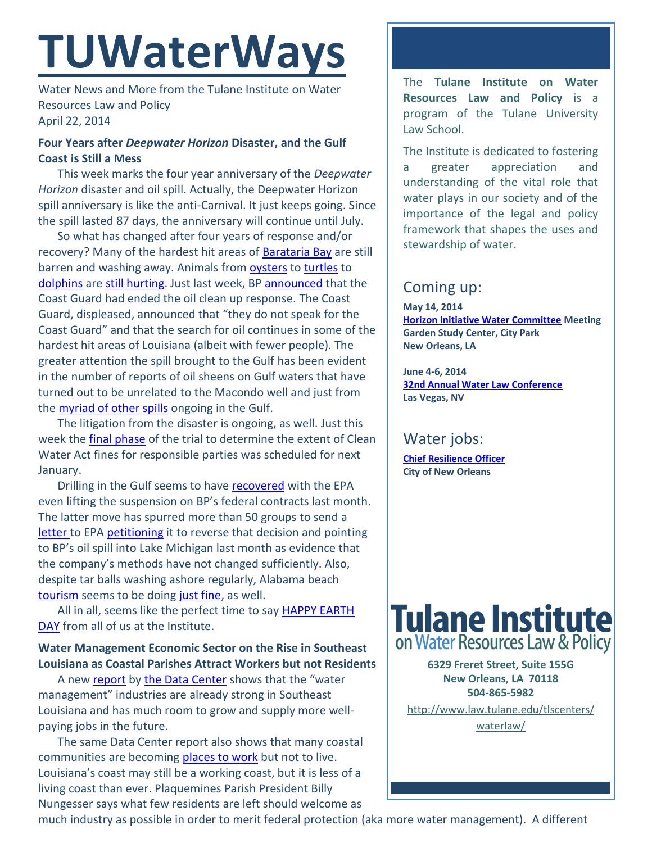# **TUWaterWays**

Water News and More from the Tulane Institute on Water Resources Law and Policy April 22, 2014

## **Four Years after** *Deepwater Horizon* **Disaster, and the Gulf Coast is Still a Mess**

This week marks the four year anniversary of the *Deepwater Horizon* disaster and oil spill. Actually, the Deepwater Horizon spill anniversary is like the anti-Carnival. It just keeps going. Since the spill lasted 87 days, the anniversary will continue until July.

So what has changed after four years of response and/or recovery? Many of the hardest hit areas of [Barataria Bay](http://www.nola.com/environment/index.ssf/2014/04/bp_oil_spill_four_years_later.html) are still barren and washing away. Animals from [oysters](http://www.nola.com/dining/index.ssf/2014/04/the_2010_gulf_of_mexico_oil_sp.html) to [turtles](http://www.houstonpublicmedia.org/news/after-2010-bp-oil-spill-kemps-ridley-turtle-continues-to-decline/) to [dolphins](http://www.chron.com/opinion/outlook/article/Kaderka-Deepwater-Horizon-disaster-continues-to-5414014.php) are [still hurting.](http://www.wwl.com/Evidence-shows-gulf-wildlife-continues-to-suffer-4/18838357) Just last week, BP [announced](http://www.houmatoday.com/article/20140419/ARTICLES/140419417/1211/NEWS01?template=printpicart) that the Coast Guard had ended the oil clean up response. The Coast Guard, displeased, announced that "they do not speak for the Coast Guard" and that the search for oil continues in some of the hardest hit areas of Louisiana (albeit with fewer people). The greater attention the spill brought to the Gulf has been evident in the number of reports of oil sheens on Gulf waters that have turned out to be unrelated to the Macondo well and just from the **myriad of other spills** ongoing in the Gulf.

The litigation from the disaster is ongoing, as well. Just this week the **final phase** of the trial to determine the extent of Clean Water Act fines for responsible parties was scheduled for next January.

Drilling in the Gulf seems to have **recovered** with the EPA even lifting the suspension on BP's federal contracts last month. The latter move has spurred more than 50 groups to send a [letter](http://www.scribd.com/doc/219011888/Letter-to-EPA) to EPA [petitioning](http://blogs.browardpalmbeach.com/pulp/2014/04/environmental_groups_call_on_e.php) it to reverse that decision and pointing to BP's oil spill into Lake Michigan last month as evidence that the company's methods have not changed sufficiently. Also, despite tar balls washing ashore regularly, Alabama beach [tourism](http://www.wkrg.com/story/25290554/4-years-after-spill-dauphin-island-still-recovering) seems to be doing [just fine,](http://www.wkrg.com/story/25294132/baldwin-county-four-years-after-the-bp-oil-spill) as well.

All in all, seems like the perfect time to say [HAPPY EARTH](https://twitter.com/search?q=happy%20earth%20day&src=typd)  [DAY](https://twitter.com/search?q=happy%20earth%20day&src=typd) from all of us at the Institute.

## **Water Management Economic Sector on the Rise in Southeast Louisiana as Coastal Parishes Attract Workers but not Residents**

A new [report](https://s3.amazonaws.com/gnocdc/reports/TheDataCenter_TheCoastalIndex.pdf) by [the Data Center](http://www.datacenterresearch.org/) shows that the "water management" industries are already strong in Southeast Louisiana and has much room to grow and supply more wellpaying jobs in the future.

The same Data Center report also shows that many coastal communities are becoming [places to work](http://www.theneworleansadvocate.com/news/8936018-171/gulf-coast-residents-moving-inland) but not to live. Louisiana's coast may still be a working coast, but it is less of a living coast than ever. Plaquemines Parish President Billy Nungesser says what few residents are left should welcome as

The **Tulane Institute on Water Resources Law and Policy** is a program of the Tulane University Law School.

The Institute is dedicated to fostering a greater appreciation and understanding of the vital role that water plays in our society and of the importance of the legal and policy framework that shapes the uses and stewardship of water.

# Coming up:

**May 14, 2014 [Horizon Initiative Water Committee](http://www.watershednola.org/) Meeting Garden Study Center, City Park New Orleans, LA**

**June 4-6, 2014 [32nd Annual Water Law Conference](http://www.americanbar.org/calendar/2014/06/32nd-annual-water-law-conference.html?sc_cid=NR1406-D1) Las Vegas, NV**

# Water jobs:

**[Chief Resilience Officer](http://www.nola.gov/jobs/) City of New Orleans** 



**6329 Freret Street, Suite 155G New Orleans, LA 70118 504-865-5982** 

[http://www.law.tulane.edu/tlscenters/](http://www.law.tulane.edu/tlscenters/waterlaw/) [waterlaw/](http://www.law.tulane.edu/tlscenters/waterlaw/)

much industry as possible in order to merit federal protection (aka more water management). A different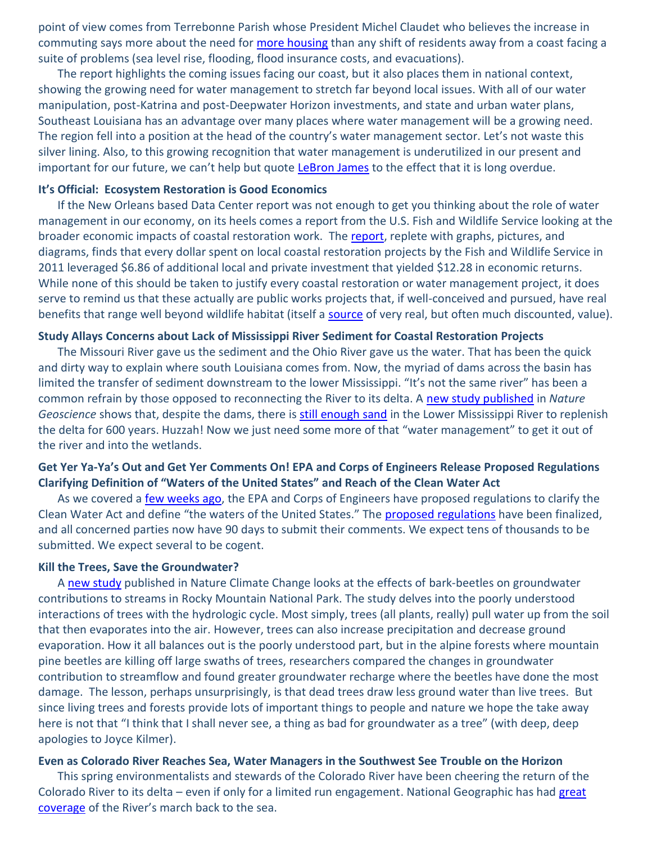point of view comes from Terrebonne Parish whose President Michel Claudet who believes the increase in commuting says more about the need for [more housing](http://www.sunherald.com/2014/04/20/5509591/people-leaving-louisianas-vanishing.html) than any shift of residents away from a coast facing a suite of problems (sea level rise, flooding, flood insurance costs, and evacuations).

The report highlights the coming issues facing our coast, but it also places them in national context, showing the growing need for water management to stretch far beyond local issues. With all of our water manipulation, post-Katrina and post-Deepwater Horizon investments, and state and urban water plans, Southeast Louisiana has an advantage over many places where water management will be a growing need. The region fell into a position at the head of the country's water management sector. Let's not waste this silver lining. Also, to this growing recognition that water management is underutilized in our present and important for our future, we can't help but quote [LeBron James](https://www.youtube.com/watch?v=lRd13-JxBkQ) to the effect that it is long overdue.

### **It's Official: Ecosystem Restoration is Good Economics**

If the New Orleans based Data Center report was not enough to get you thinking about the role of water management in our economy, on its heels comes a report from the U.S. Fish and Wildlife Service looking at the broader economic impacts of coastal restoration work. The [report,](http://www.fws.gov/southeast/es/r4-partners/pdf/RestorationReturnsFINAL.pdf) replete with graphs, pictures, and diagrams, finds that every dollar spent on local coastal restoration projects by the Fish and Wildlife Service in 2011 leveraged \$6.86 of additional local and private investment that yielded \$12.28 in economic returns. While none of this should be taken to justify every coastal restoration or water management project, it does serve to remind us that these actually are public works projects that, if well-conceived and pursued, have real benefits that range well beyond wildlife habitat (itself a [source](http://www.daturesearch.com/wp-content/uploads/WildlifeTourismReport_FINAL.pdf) of very real, but often much discounted, value).

#### **Study Allays Concerns about Lack of Mississippi River Sediment for Coastal Restoration Projects**

The Missouri River gave us the sediment and the Ohio River gave us the water. That has been the quick and dirty way to explain where south Louisiana comes from. Now, the myriad of dams across the basin has limited the transfer of sediment downstream to the lower Mississippi. "It's not the same river" has been a common refrain by those opposed to reconnecting the River to its delta. A [new study published](http://www.nature.com/ngeo/journal/vaop/ncurrent/full/ngeo2142.html) in *Nature Geoscience* shows that, despite the dams, there is [still enough sand](http://www.nola.com/environment/index.ssf/2014/04/mississippi_river_will_carry_e.html#incart_river_default) in the Lower Mississippi River to replenish the delta for 600 years. Huzzah! Now we just need some more of that "water management" to get it out of the river and into the wetlands.

#### **Get Yer Ya-Ya's Out and Get Yer Comments On! EPA and Corps of Engineers Release Proposed Regulations Clarifying Definition of "Waters of the United States" and Reach of the Clean Water Act**

As we covered a [few weeks ago,](http://www.law.tulane.edu/uploadedFiles/Institutes_and_Centers/Water_Resources_Law_and_Policy/Content/TUWaterWays%20March%2027%202014.pdf) the EPA and Corps of Engineers have proposed regulations to clarify the Clean Water Act and define "the waters of the United States." The [proposed regulations](http://www.gpo.gov/fdsys/pkg/FR-2014-04-21/pdf/2014-07142.pdf) have been finalized, and all concerned parties now have 90 days to submit their comments. We expect tens of thousands to be submitted. We expect several to be cogent.

#### **Kill the Trees, Save the Groundwater?**

A [new study](http://www.nature.com/nclimate/journal/vaop/ncurrent/full/nclimate2198.html) published in Nature Climate Change looks at the effects of bark-beetles on groundwater contributions to streams in Rocky Mountain National Park. The study delves into the poorly understood interactions of trees with the hydrologic cycle. Most simply, trees (all plants, really) pull water up from the soil that then evaporates into the air. However, trees can also increase precipitation and decrease ground evaporation. How it all balances out is the poorly understood part, but in the alpine forests where mountain pine beetles are killing off large swaths of trees, researchers compared the changes in groundwater contribution to streamflow and found greater groundwater recharge where the beetles have done the most damage. The lesson, perhaps unsurprisingly, is that dead trees draw less ground water than live trees. But since living trees and forests provide lots of important things to people and nature we hope the take away here is not that "I think that I shall never see, a thing as bad for groundwater as a tree" (with deep, deep apologies to Joyce Kilmer).

#### **Even as Colorado River Reaches Sea, Water Managers in the Southwest See Trouble on the Horizon**

This spring environmentalists and stewards of the Colorado River have been cheering the return of the Colorado River to its delta – even if only for a limited run engagement. National Geographic has had [great](http://newswatch.nationalgeographic.com/blog/water-currents/)  [coverage](http://newswatch.nationalgeographic.com/blog/water-currents/) of the River's march back to the sea.